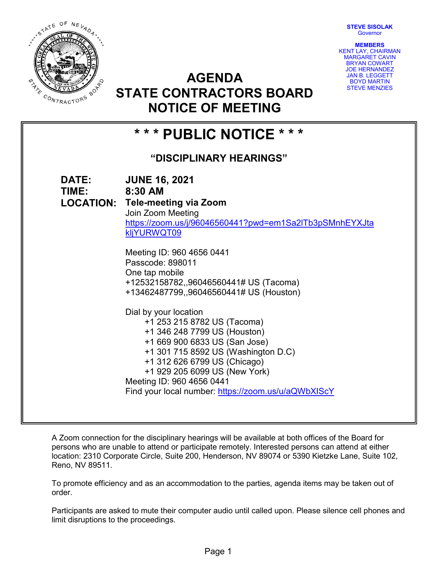**STEVE SISOLAK Governor** 



**AGENDA STATE CONTRACTORS BOARD NOTICE OF MEETING**

**MEMBERS** KENT LAY, CHAIRMAN MARGARET CAVIN BRYAN COWART JOE HERNANDEZ JAN B. LEGGETT BOYD MARTIN STEVE MENZIES

# **\* \* \* PUBLIC NOTICE \* \* \***

# **"DISCIPLINARY HEARINGS"**

| DATE:<br>TIME: | <b>JUNE 16, 2021</b><br>8:30 AM                                                   |
|----------------|-----------------------------------------------------------------------------------|
|                | <b>LOCATION: Tele-meeting via Zoom</b>                                            |
|                | Join Zoom Meeting                                                                 |
|                | https://zoom.us/j/96046560441?pwd=em1Sa2ITb3pSMnhEYXJta<br>kljYURWQT09            |
|                | Meeting ID: 960 4656 0441                                                         |
|                | Passcode: 898011                                                                  |
|                | One tap mobile                                                                    |
|                | +12532158782,,96046560441# US (Tacoma)<br>+13462487799,,96046560441# US (Houston) |
|                |                                                                                   |
|                | Dial by your location                                                             |
|                | +1 253 215 8782 US (Tacoma)                                                       |
|                | +1 346 248 7799 US (Houston)                                                      |
|                | +1 669 900 6833 US (San Jose)                                                     |
|                | +1 301 715 8592 US (Washington D.C)                                               |
|                | +1 312 626 6799 US (Chicago)                                                      |
|                | +1 929 205 6099 US (New York)<br>Meeting ID: 960 4656 0441                        |
|                | Find your local number: https://zoom.us/u/aQWbXIScY                               |
|                |                                                                                   |

A Zoom connection for the disciplinary hearings will be available at both offices of the Board for persons who are unable to attend or participate remotely. Interested persons can attend at either location: 2310 Corporate Circle, Suite 200, Henderson, NV 89074 or 5390 Kietzke Lane, Suite 102, Reno, NV 89511.

To promote efficiency and as an accommodation to the parties, agenda items may be taken out of order.

Participants are asked to mute their computer audio until called upon. Please silence cell phones and limit disruptions to the proceedings.